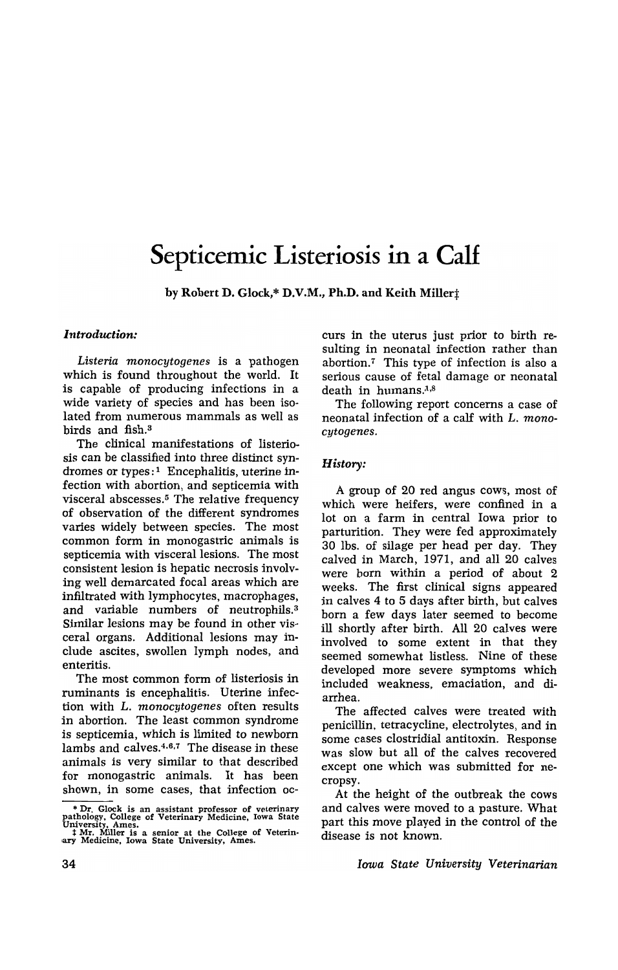# **Septicemic Listeriosis in a Calf**

by Robert D. Glock,\* D.V.M., Ph.D. and Keith Miller $\ddagger$ 

# *Introduction:*

*Listeria monocytogenes* is a pathogen which is found throughout the world. It is capable of producing infections in a wide variety of species and has been isolated from numerous mammals as well as birds and fish.<sup>3</sup>

The clinical manifestations of listeriosis can be classified into three distinct syndromes or types:<sup>1</sup> Encephalitis, uterine infection with abortion, and septicemia with visceral abscesses.<sup>5</sup> The relative frequency of observation of the different syndromes varies widely between species. The most common form in monogastric animals is septicemia with visceral lesions. The most consistent lesion is hepatic necrosis involving well demarcated focal areas which are infiltrated with lymphocytes, macrophages, and variable numbers of neutrophils.<sup>3</sup> Similar lesions may be found in other visceral organs. Additional lesions may include ascites, swollen lymph nodes, and enteritis.

The most common form of listeriosis in ruminants is encephalitis. Uterine infection with L. *monocytogenes* often results in abortion. The least common syndrome is septicemia, which is limited to newborn lambs and calves.<sup>4,6,7</sup> The disease in these animals is very similar to that described for monogastric animals. It has been shown, in some cases, that infection occurs in the uterus just prior to birth resulting in neonatal infection rather than abortion.<sup>7</sup> This type of infection is also a serious cause of fetal damage or neonatal death in humans. $1,8$ 

The following report concerns a case of neonatal infection of a calf with L. *monocytogenes.* 

# *History:*

A group of 20 red angus cows, most of which were heifers, were confined in a lot on a farm in central Iowa prior to parturition. They were fed approximately 30 Ibs. of silage per head per day. They calved in March, 1971, and all 20 calves were born within a period of about 2 weeks. The first clinical signs appeared in calves 4 to 5 days after birth, but calves born a few days later seemed to become ill shortly after birth. All 20 calves were involved to some extent in that they seemed somewhat listless. Nine of these developed more severe symptoms which included weakness, emaciation, and diarrhea.

The affected calves were treated with penicillin, tetracycline, electrolytes, and in some cases clostridial antitoxin. Response was slow but all of the calves recovered except one which was submitted for necropsy.

At the height of the outbreak the cows and calves were moved to a pasture. What part this move played in the control of the disease is not known.

*Iowa State University Veterinarian* 

<sup>\*</sup> Dr. Glock is an assistant professor of veterinary pathology, College of Veterinary Medicine, Iowa State University, Ames.<br>
1 Mr. Miller is a senior at the College of Veterin-<br>
1 Mr. Miller is a senior at the College of V